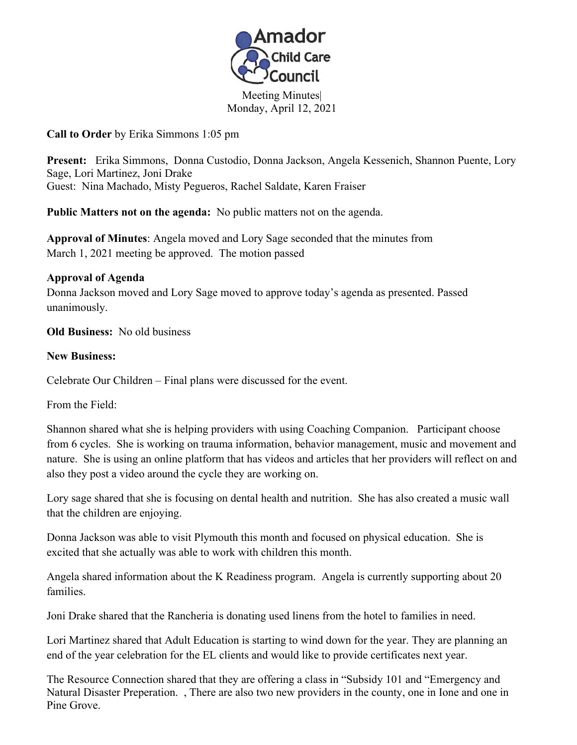

Meeting Minutes| Monday, April 12, 2021

**Call to Order** by Erika Simmons 1:05 pm

**Present:** Erika Simmons, Donna Custodio, Donna Jackson, Angela Kessenich, Shannon Puente, Lory Sage, Lori Martinez, Joni Drake Guest: Nina Machado, Misty Pegueros, Rachel Saldate, Karen Fraiser

**Public Matters not on the agenda:** No public matters not on the agenda. **Approval of Minutes**: Angela moved and Lory Sage seconded that the minutes from March 1, 2021 meeting be approved. The motion passed

## **Approval of Agenda**

Donna Jackson moved and Lory Sage moved to approve today's agenda as presented. Passed unanimously.

**Old Business:** No old business

## **New Business:**

Celebrate Our Children – Final plans were discussed for the event.

From the Field:

Shannon shared what she is helping providers with using Coaching Companion. Participant choose from 6 cycles. She is working on trauma information, behavior management, music and movement and nature. She is using an online platform that has videos and articles that her providers will reflect on and also they post a video around the cycle they are working on.

Lory sage shared that she is focusing on dental health and nutrition. She has also created a music wall that the children are enjoying.

Donna Jackson was able to visit Plymouth this month and focused on physical education. She is excited that she actually was able to work with children this month.

Angela shared information about the K Readiness program. Angela is currently supporting about 20 families.

Joni Drake shared that the Rancheria is donating used linens from the hotel to families in need.

Lori Martinez shared that Adult Education is starting to wind down for the year. They are planning an end of the year celebration for the EL clients and would like to provide certificates next year.

The Resource Connection shared that they are offering a class in "Subsidy 101 and "Emergency and Natural Disaster Preperation. , There are also two new providers in the county, one in Ione and one in Pine Grove.